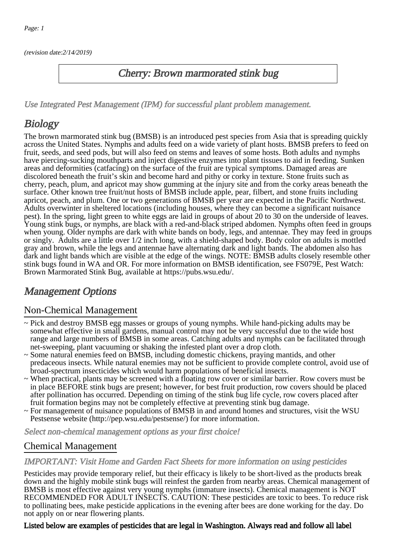(revision date:2/14/2019)

## Cherry: Brown marmorated stink bug

[Use Integrated Pest Management \(IPM\) for successful plant problem management.](http://pep.wsu.edu/Home_Garden/H_G_Pesticide_info/urban_Integrated_Pest_Managmen/)

# **Biology**

The brown marmorated stink bug (BMSB) is an introduced pest species from Asia that is spreading quickly across the United States. Nymphs and adults feed on a wide variety of plant hosts. BMSB prefers to feed on fruit, seeds, and seed pods, but will also feed on stems and leaves of some hosts. Both adults and nymphs have piercing-sucking mouthparts and inject digestive enzymes into plant tissues to aid in feeding. Sunken areas and deformities (catfacing) on the surface of the fruit are typical symptoms. Damaged areas are discolored beneath the fruit's skin and become hard and pithy or corky in texture. Stone fruits such as cherry, peach, plum, and apricot may show gumming at the injury site and from the corky areas beneath the surface. Other known tree fruit/nut hosts of BMSB include apple, pear, filbert, and stone fruits including apricot, peach, and plum. One or two generations of BMSB per year are expected in the Pacific Northwest. Adults overwinter in sheltered locations (including houses, where they can become a significant nuisance pest). In the spring, light green to white eggs are laid in groups of about 20 to 30 on the underside of leaves. Young stink bugs, or nymphs, are black with a red-and-black striped abdomen. Nymphs often feed in groups when young. Older nymphs are dark with white bands on body, legs, and antennae. They may feed in groups or singly. Adults are a little over 1/2 inch long, with a shield-shaped body. Body color on adults is mottled gray and brown, while the legs and antennae have alternating dark and light bands. The abdomen also has dark and light bands which are visible at the edge of the wings. NOTE: BMSB adults closely resemble other stink bugs found in WA and OR. For more information on BMSB identification, see FS079E, Pest Watch: Brown Marmorated Stink Bug, available at https://pubs.wsu.edu/.

## Management Options

### Non-Chemical Management

- ~ Pick and destroy BMSB egg masses or groups of young nymphs. While hand-picking adults may be somewhat effective in small gardens, manual control may not be very successful due to the wide host range and large numbers of BMSB in some areas. Catching adults and nymphs can be facilitated through net-sweeping, plant vacuuming or shaking the infested plant over a drop cloth.
- ~ Some natural enemies feed on BMSB, including domestic chickens, praying mantids, and other predaceous insects. While natural enemies may not be sufficient to provide complete control, avoid use of broad-spectrum insecticides which would harm populations of beneficial insects.
- ~ When practical, plants may be screened with a floating row cover or similar barrier. Row covers must be in place BEFORE stink bugs are present; however, for best fruit production, row covers should be placed after pollination has occurred. Depending on timing of the stink bug life cycle, row covers placed after fruit formation begins may not be completely effective at preventing stink bug damage.
- ~ For management of nuisance populations of BMSB in and around homes and structures, visit the WSU Pestsense website (http://pep.wsu.edu/pestsense/) for more information.

Select non-chemical management options as your first choice!

## Chemical Management

#### IMPORTANT: [Visit Home and Garden Fact Sheets for more information on using pesticides](http://pep.wsu.edu/Home_Garden/H_G_Pesticide_info/)

Pesticides may provide temporary relief, but their efficacy is likely to be short-lived as the products break down and the highly mobile stink bugs will reinfest the garden from nearby areas. Chemical management of BMSB is most effective against very young nymphs (immature insects). Chemical management is NOT RECOMMENDED FOR ADULT INSECTS. CAUTION: These pesticides are toxic to bees. To reduce risk to pollinating bees, make pesticide applications in the evening after bees are done working for the day. Do not apply on or near flowering plants.

#### Listed below are examples of pesticides that are legal in Washington. Always read and follow all label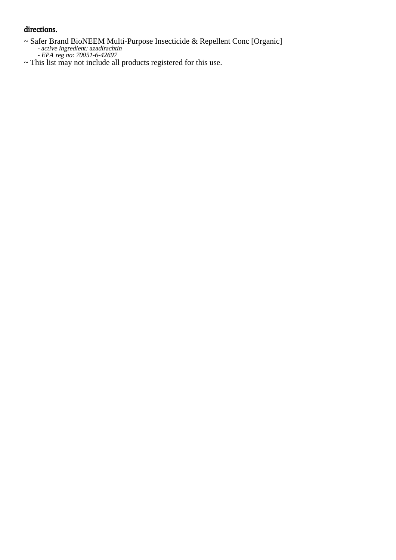#### directions.

- $\sim$  Saf Safer Brand BioNEEM Multi-Purpose Insecticide & Repellent Conc [Organic] active ingredient: azadirachtin
	- EPA reg no: 70051-6-42697
- ~ This list may not include all products registered for this use.